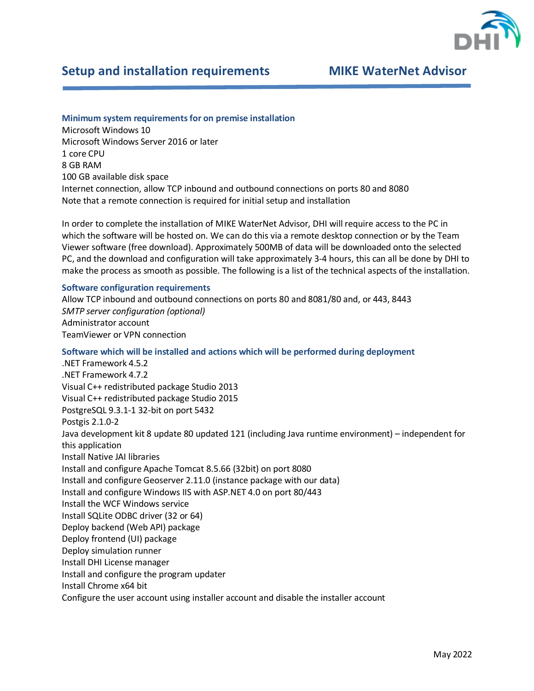

# **Setup and installation requirements MIKE WaterNet Advisor**

# **Minimum system requirements for on premise installation**

Microsoft Windows 10 Microsoft Windows Server 2016 or later 1 core CPU 8 GB RAM 100 GB available disk space Internet connection, allow TCP inbound and outbound connections on ports 80 and 8080 Note that a remote connection is required for initial setup and installation

In order to complete the installation of MIKE WaterNet Advisor, DHI will require access to the PC in which the software will be hosted on. We can do this via a remote desktop connection or by the Team Viewer software (free download). Approximately 500MB of data will be downloaded onto the selected PC, and the download and configuration will take approximately 3-4 hours, this can all be done by DHI to make the process as smooth as possible. The following is a list of the technical aspects of the installation.

### **Software configuration requirements**

Allow TCP inbound and outbound connections on ports 80 and 8081/80 and, or 443, 8443 *SMTP server configuration (optional)* Administrator account TeamViewer or VPN connection

## **Software which will be installed and actions which will be performed during deployment**

.NET Framework 4.5.2 .NET Framework 4.7.2 Visual C++ redistributed package Studio 2013 Visual C++ redistributed package Studio 2015 PostgreSQL 9.3.1-1 32-bit on port 5432 Postgis 2.1.0-2 Java development kit 8 update 80 updated 121 (including Java runtime environment) – independent for this application Install Native JAI libraries Install and configure Apache Tomcat 8.5.66 (32bit) on port 8080 Install and configure Geoserver 2.11.0 (instance package with our data) Install and configure Windows IIS with ASP.NET 4.0 on port 80/443 Install the WCF Windows service Install SQLite ODBC driver (32 or 64) Deploy backend (Web API) package Deploy frontend (UI) package Deploy simulation runner Install DHI License manager Install and configure the program updater Install Chrome x64 bit Configure the user account using installer account and disable the installer account